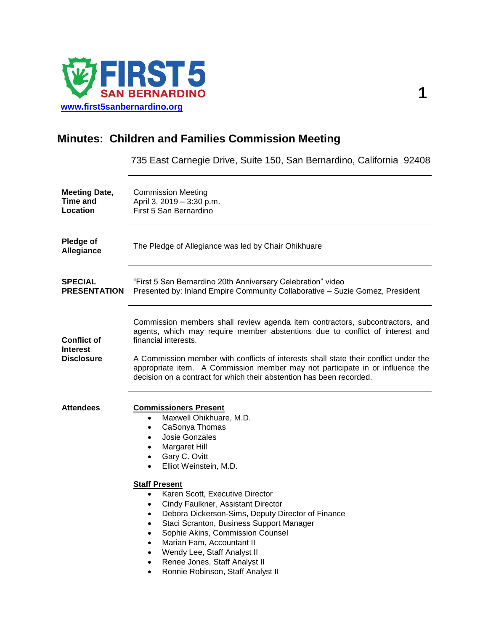

# **Minutes: Children and Families Commission Meeting**

735 East Carnegie Drive, Suite 150, San Bernardino, California 92408

| <b>Meeting Date,</b><br><b>Time and</b><br>Location        | <b>Commission Meeting</b><br>April 3, 2019 - 3:30 p.m.<br>First 5 San Bernardino                                                                                                                                                                                                                                                                                                                                                                                |  |
|------------------------------------------------------------|-----------------------------------------------------------------------------------------------------------------------------------------------------------------------------------------------------------------------------------------------------------------------------------------------------------------------------------------------------------------------------------------------------------------------------------------------------------------|--|
| Pledge of<br>Allegiance                                    | The Pledge of Allegiance was led by Chair Ohikhuare                                                                                                                                                                                                                                                                                                                                                                                                             |  |
| <b>SPECIAL</b><br><b>PRESENTATION</b>                      | "First 5 San Bernardino 20th Anniversary Celebration" video<br>Presented by: Inland Empire Community Collaborative - Suzie Gomez, President                                                                                                                                                                                                                                                                                                                     |  |
| <b>Conflict of</b><br><b>Interest</b><br><b>Disclosure</b> | Commission members shall review agenda item contractors, subcontractors, and<br>agents, which may require member abstentions due to conflict of interest and<br>financial interests.<br>A Commission member with conflicts of interests shall state their conflict under the<br>appropriate item. A Commission member may not participate in or influence the<br>decision on a contract for which their abstention has been recorded.                           |  |
| <b>Attendees</b>                                           | <b>Commissioners Present</b><br>Maxwell Ohikhuare, M.D.<br>$\bullet$<br>CaSonya Thomas<br>$\bullet$<br><b>Josie Gonzales</b><br>$\bullet$<br><b>Margaret Hill</b><br>$\bullet$<br>Gary C. Ovitt<br>Elliot Weinstein, M.D.<br>$\bullet$                                                                                                                                                                                                                          |  |
|                                                            | <b>Staff Present</b><br>Karen Scott, Executive Director<br>$\bullet$<br>Cindy Faulkner, Assistant Director<br>$\bullet$<br>Debora Dickerson-Sims, Deputy Director of Finance<br>$\bullet$<br>Staci Scranton, Business Support Manager<br>$\bullet$<br>Sophie Akins, Commission Counsel<br>$\bullet$<br>Marian Fam, Accountant II<br>Wendy Lee, Staff Analyst II<br>$\bullet$<br>Renee Jones, Staff Analyst II<br>$\bullet$<br>Ronnie Robinson, Staff Analyst II |  |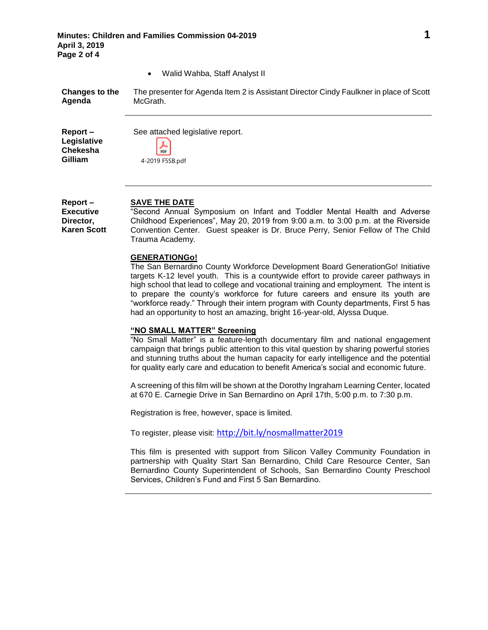**Minutes: Children and Families Commission 04-2019 1 April 3, 2019 Page 2 of 4**

### Walid Wahba, Staff Analyst II

| <b>Changes to the</b> | The presenter for Agenda Item 2 is Assistant Director Cindy Faulkner in place of Scott |
|-----------------------|----------------------------------------------------------------------------------------|
| Aqenda                | McGrath.                                                                               |
|                       |                                                                                        |

**Report – Legislative Chekesha Gilliam**

See attached legislative report.

|  | 4-2019 F5SB.pdf |
|--|-----------------|

**Report – Executive Director, Karen Scott**

## **SAVE THE DATE**

"Second Annual Symposium on Infant and Toddler Mental Health and Adverse Childhood Experiences", May 20, 2019 from 9:00 a.m. to 3:00 p.m. at the Riverside Convention Center. Guest speaker is Dr. Bruce Perry, Senior Fellow of The Child Trauma Academy.

## **GENERATIONGo!**

The San Bernardino County Workforce Development Board GenerationGo! Initiative targets K-12 level youth. This is a countywide effort to provide career pathways in high school that lead to college and vocational training and employment. The intent is to prepare the county's workforce for future careers and ensure its youth are "workforce ready." Through their intern program with County departments, First 5 has had an opportunity to host an amazing, bright 16-year-old, Alyssa Duque.

## **"NO SMALL MATTER" Screening**

"No Small Matter" is a feature-length documentary film and national engagement campaign that brings public attention to this vital question by sharing powerful stories and stunning truths about the human capacity for early intelligence and the potential for quality early care and education to benefit America's social and economic future.

A screening of this film will be shown at the Dorothy Ingraham Learning Center, located at 670 E. Carnegie Drive in San Bernardino on April 17th, 5:00 p.m. to 7:30 p.m.

Registration is free, however, space is limited.

To register, please visit: <http://bit.ly/nosmallmatter2019>

This film is presented with support from Silicon Valley Community Foundation in partnership with Quality Start San Bernardino, Child Care Resource Center, San Bernardino County Superintendent of Schools, San Bernardino County Preschool Services, Children's Fund and First 5 San Bernardino.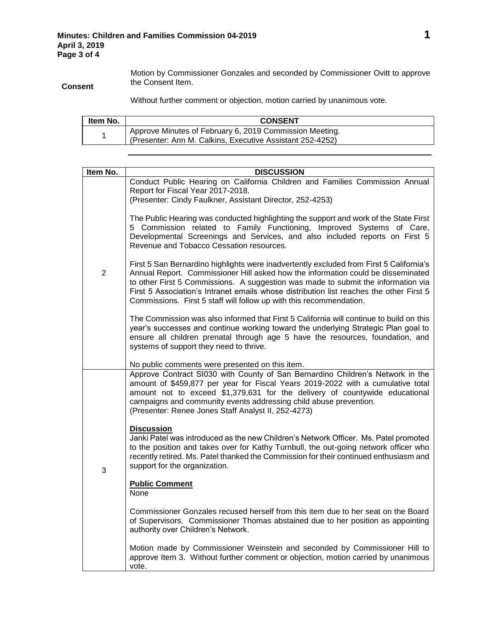**Consent**

Motion by Commissioner Gonzales and seconded by Commissioner Ovitt to approve the Consent Item.

Without further comment or objection, motion carried by unanimous vote.

| ltem No. | <b>CONSENT</b>                                                                                                       |
|----------|----------------------------------------------------------------------------------------------------------------------|
|          | Approve Minutes of February 6, 2019 Commission Meeting.<br>(Presenter: Ann M. Calkins, Executive Assistant 252-4252) |

| Item No.       | <b>DISCUSSION</b>                                                                                                                                                                                                                                                                                                                                                                                                                  |
|----------------|------------------------------------------------------------------------------------------------------------------------------------------------------------------------------------------------------------------------------------------------------------------------------------------------------------------------------------------------------------------------------------------------------------------------------------|
| $\overline{2}$ | Conduct Public Hearing on California Children and Families Commission Annual<br>Report for Fiscal Year 2017-2018.<br>(Presenter: Cindy Faulkner, Assistant Director, 252-4253)                                                                                                                                                                                                                                                     |
|                | The Public Hearing was conducted highlighting the support and work of the State First<br>5 Commission related to Family Functioning, Improved Systems of Care,<br>Developmental Screenings and Services, and also included reports on First 5<br>Revenue and Tobacco Cessation resources.                                                                                                                                          |
|                | First 5 San Bernardino highlights were inadvertently excluded from First 5 California's<br>Annual Report. Commissioner Hill asked how the information could be disseminated<br>to other First 5 Commissions. A suggestion was made to submit the information via<br>First 5 Association's Intranet emails whose distribution list reaches the other First 5<br>Commissions. First 5 staff will follow up with this recommendation. |
|                | The Commission was also informed that First 5 California will continue to build on this<br>year's successes and continue working toward the underlying Strategic Plan goal to<br>ensure all children prenatal through age 5 have the resources, foundation, and<br>systems of support they need to thrive.                                                                                                                         |
|                | No public comments were presented on this item.                                                                                                                                                                                                                                                                                                                                                                                    |
| 3              | Approve Contract SI030 with County of San Bernardino Children's Network in the<br>amount of \$459,877 per year for Fiscal Years 2019-2022 with a cumulative total<br>amount not to exceed \$1,379,631 for the delivery of countywide educational<br>campaigns and community events addressing child abuse prevention.<br>(Presenter: Renee Jones Staff Analyst II, 252-4273)                                                       |
|                | <b>Discussion</b><br>Janki Patel was introduced as the new Children's Network Officer. Ms. Patel promoted<br>to the position and takes over for Kathy Turnbull, the out-going network officer who<br>recently retired. Ms. Patel thanked the Commission for their continued enthusiasm and<br>support for the organization.                                                                                                        |
|                | <b>Public Comment</b><br>None                                                                                                                                                                                                                                                                                                                                                                                                      |
|                | Commissioner Gonzales recused herself from this item due to her seat on the Board<br>of Supervisors. Commissioner Thomas abstained due to her position as appointing<br>authority over Children's Network.                                                                                                                                                                                                                         |
|                | Motion made by Commissioner Weinstein and seconded by Commissioner Hill to<br>approve Item 3. Without further comment or objection, motion carried by unanimous<br>vote.                                                                                                                                                                                                                                                           |